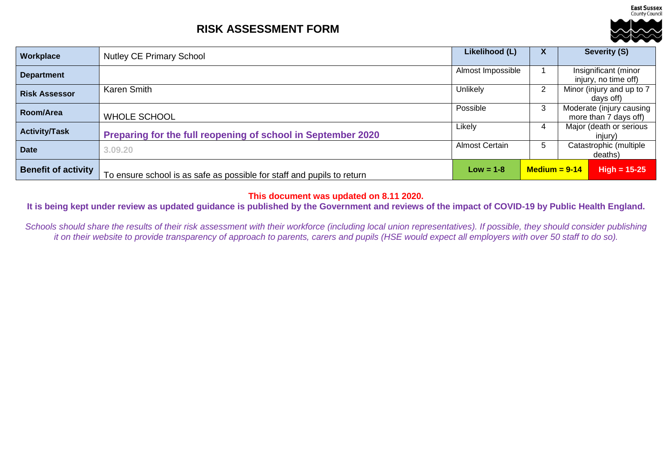

## **RISK ASSESSMENT FORM**

| Workplace                  | <b>Nutley CE Primary School</b>                                        | Likelihood (L)        | $\lambda$       | Severity (S)                                      |  |
|----------------------------|------------------------------------------------------------------------|-----------------------|-----------------|---------------------------------------------------|--|
| <b>Department</b>          |                                                                        | Almost Impossible     |                 | Insignificant (minor<br>injury, no time off)      |  |
| <b>Risk Assessor</b>       | Unlikely<br><b>Karen Smith</b>                                         |                       | 2               | Minor (injury and up to 7<br>days off)            |  |
| Room/Area                  | <b>WHOLE SCHOOL</b>                                                    | 3<br>Possible         |                 | Moderate (injury causing<br>more than 7 days off) |  |
| <b>Activity/Task</b>       | Preparing for the full reopening of school in September 2020           | Likely                |                 | Major (death or serious<br>injury)                |  |
| <b>Date</b>                | 3.09.20                                                                | <b>Almost Certain</b> | 5               | Catastrophic (multiple<br>deaths)                 |  |
| <b>Benefit of activity</b> | To ensure school is as safe as possible for staff and pupils to return | $Low = 1-8$           | $Median = 9-14$ | $High = 15-25$                                    |  |

#### **This document was updated on 8.11 2020.**

**It is being kept under review as updated guidance is published by the Government and reviews of the impact of COVID-19 by Public Health England.**

*Schools should share the results of their risk assessment with their workforce (including local union representatives). If possible, they should consider publishing it on their website to provide transparency of approach to parents, carers and pupils (HSE would expect all employers with over 50 staff to do so).*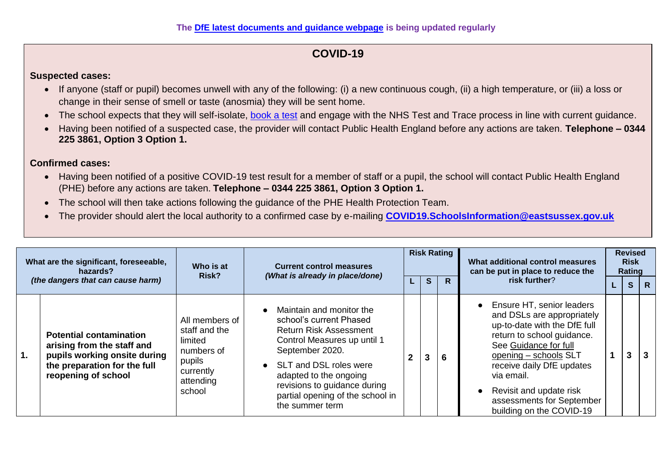## **COVID-19**

**Suspected cases:** 

- If anyone (staff or pupil) becomes unwell with any of the following: (i) a new continuous cough, (ii) a high temperature, or (iii) a loss or change in their sense of smell or taste (anosmia) they will be sent home.
- The school expects that they will self-isolate, [book a test](https://www.gov.uk/guidance/coronavirus-covid-19-getting-tested) and engage with the NHS Test and Trace process in line with current guidance.
- Having been notified of a suspected case, the provider will contact Public Health England before any actions are taken. **Telephone – 0344 225 3861, Option 3 Option 1.**

### **Confirmed cases:**

- Having been notified of a positive COVID-19 test result for a member of staff or a pupil, the school will contact Public Health England (PHE) before any actions are taken. **Telephone – 0344 225 3861, Option 3 Option 1.**
- The school will then take actions following the guidance of the PHE Health Protection Team.
- The provider should alert the local authority to a confirmed case by e-mailing **[COVID19.SchoolsInformation@eastsussex.gov.uk](mailto:COVID19.SchoolsInformation@eastsussex.gov.uk)**

|    | What are the significant, foreseeable,<br>hazards?                                                                                                  | Who is at<br>Risk?                                                                                     | <b>Current control measures</b><br>(What is already in place/done)                                                                                                                                                                                                                  |              |          | <b>Risk Rating</b> | What additional control measures<br>can be put in place to reduce the                                                                                                                                                                                                                                  | <b>Revised</b><br><b>Risk</b><br>Rating |    |
|----|-----------------------------------------------------------------------------------------------------------------------------------------------------|--------------------------------------------------------------------------------------------------------|-------------------------------------------------------------------------------------------------------------------------------------------------------------------------------------------------------------------------------------------------------------------------------------|--------------|----------|--------------------|--------------------------------------------------------------------------------------------------------------------------------------------------------------------------------------------------------------------------------------------------------------------------------------------------------|-----------------------------------------|----|
|    | (the dangers that can cause harm)                                                                                                                   |                                                                                                        |                                                                                                                                                                                                                                                                                     |              | <b>S</b> | R.                 | risk further?                                                                                                                                                                                                                                                                                          | S <sub>1</sub>                          | -R |
| 1. | <b>Potential contamination</b><br>arising from the staff and<br>pupils working onsite during<br>the preparation for the full<br>reopening of school | All members of<br>staff and the<br>limited<br>numbers of<br>pupils<br>currently<br>attending<br>school | Maintain and monitor the<br>school's current Phased<br><b>Return Risk Assessment</b><br>Control Measures up until 1<br>September 2020.<br>• SLT and DSL roles were<br>adapted to the ongoing<br>revisions to guidance during<br>partial opening of the school in<br>the summer term | $\mathbf{2}$ |          | 6                  | Ensure HT, senior leaders<br>and DSLs are appropriately<br>up-to-date with the DfE full<br>return to school guidance.<br>See Guidance for full<br>opening - schools SLT<br>receive daily DfE updates<br>via email.<br>Revisit and update risk<br>assessments for September<br>building on the COVID-19 | 3                                       |    |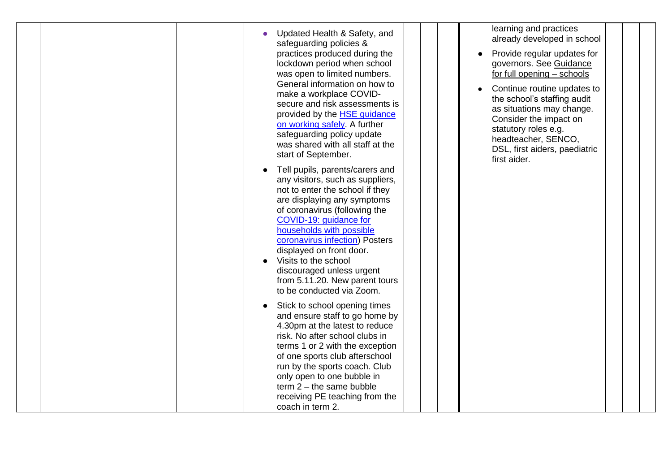| Updated Health & Safety, and<br>safeguarding policies &<br>practices produced during the<br>lockdown period when school<br>was open to limited numbers.<br>General information on how to<br>make a workplace COVID-<br>secure and risk assessments is<br>provided by the <b>HSE</b> guidance<br>on working safely. A further<br>safeguarding policy update<br>was shared with all staff at the<br>start of September. | learning and practices<br>already developed in school<br>Provide regular updates for<br>governors. See Guidance<br>for full opening - schools<br>Continue routine updates to<br>the school's staffing audit<br>as situations may change.<br>Consider the impact on<br>statutory roles e.g.<br>headteacher, SENCO,<br>DSL, first aiders, paediatric<br>first aider. |
|-----------------------------------------------------------------------------------------------------------------------------------------------------------------------------------------------------------------------------------------------------------------------------------------------------------------------------------------------------------------------------------------------------------------------|--------------------------------------------------------------------------------------------------------------------------------------------------------------------------------------------------------------------------------------------------------------------------------------------------------------------------------------------------------------------|
| Tell pupils, parents/carers and<br>any visitors, such as suppliers,<br>not to enter the school if they<br>are displaying any symptoms<br>of coronavirus (following the<br>COVID-19: guidance for<br>households with possible<br>coronavirus infection) Posters<br>displayed on front door.<br>Visits to the school<br>discouraged unless urgent<br>from 5.11.20. New parent tours<br>to be conducted via Zoom.        |                                                                                                                                                                                                                                                                                                                                                                    |
| Stick to school opening times<br>and ensure staff to go home by<br>4.30pm at the latest to reduce<br>risk. No after school clubs in<br>terms 1 or 2 with the exception<br>of one sports club afterschool<br>run by the sports coach. Club<br>only open to one bubble in<br>term $2 -$ the same bubble<br>receiving PE teaching from the<br>coach in term 2.                                                           |                                                                                                                                                                                                                                                                                                                                                                    |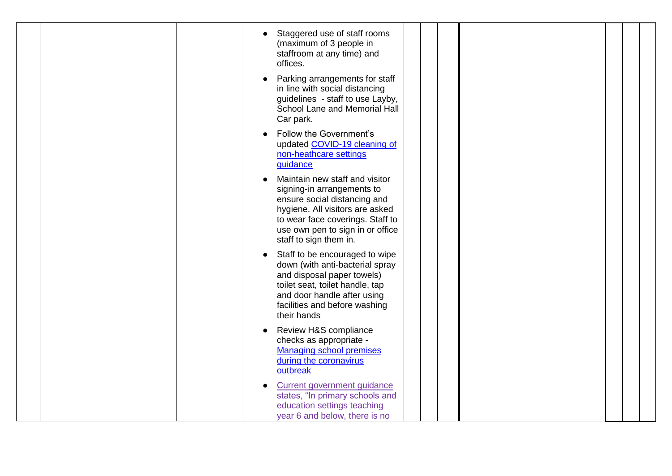|  | Staggered use of staff rooms<br>$\bullet$<br>(maximum of 3 people in<br>staffroom at any time) and<br>offices.                                                                                                                    |  |  |
|--|-----------------------------------------------------------------------------------------------------------------------------------------------------------------------------------------------------------------------------------|--|--|
|  | Parking arrangements for staff<br>in line with social distancing<br>guidelines - staff to use Layby,<br>School Lane and Memorial Hall<br>Car park.                                                                                |  |  |
|  | Follow the Government's<br>updated COVID-19 cleaning of<br>non-heathcare settings<br>guidance                                                                                                                                     |  |  |
|  | Maintain new staff and visitor<br>signing-in arrangements to<br>ensure social distancing and<br>hygiene. All visitors are asked<br>to wear face coverings. Staff to<br>use own pen to sign in or office<br>staff to sign them in. |  |  |
|  | Staff to be encouraged to wipe<br>down (with anti-bacterial spray<br>and disposal paper towels)<br>toilet seat, toilet handle, tap<br>and door handle after using<br>facilities and before washing<br>their hands                 |  |  |
|  | Review H&S compliance<br>$\bullet$<br>checks as appropriate -<br><b>Managing school premises</b><br>during the coronavirus<br>outbreak                                                                                            |  |  |
|  | <b>Current government guidance</b><br>states, "In primary schools and<br>education settings teaching<br>year 6 and below, there is no                                                                                             |  |  |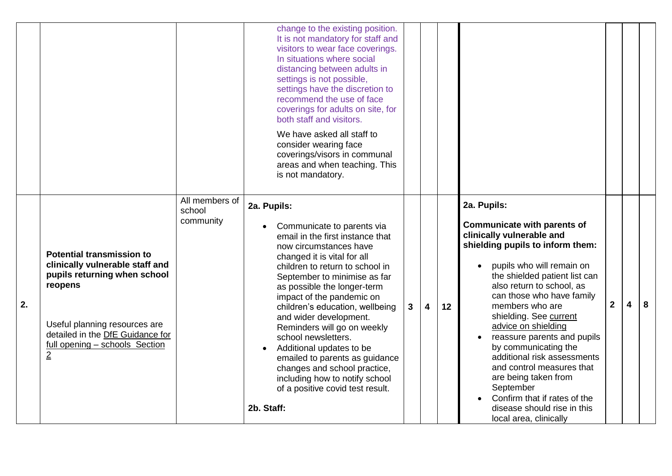|    |                                                                                                                                                                                                                                         |                                       | change to the existing position.<br>It is not mandatory for staff and<br>visitors to wear face coverings.<br>In situations where social<br>distancing between adults in<br>settings is not possible,<br>settings have the discretion to<br>recommend the use of face<br>coverings for adults on site, for<br>both staff and visitors.<br>We have asked all staff to<br>consider wearing face<br>coverings/visors in communal<br>areas and when teaching. This<br>is not mandatory.                                                                                         |                 |   |    |                                                                                                                                                                                                                                                                                                                                                                                                                                                                                                                                                                 |                |   |   |
|----|-----------------------------------------------------------------------------------------------------------------------------------------------------------------------------------------------------------------------------------------|---------------------------------------|----------------------------------------------------------------------------------------------------------------------------------------------------------------------------------------------------------------------------------------------------------------------------------------------------------------------------------------------------------------------------------------------------------------------------------------------------------------------------------------------------------------------------------------------------------------------------|-----------------|---|----|-----------------------------------------------------------------------------------------------------------------------------------------------------------------------------------------------------------------------------------------------------------------------------------------------------------------------------------------------------------------------------------------------------------------------------------------------------------------------------------------------------------------------------------------------------------------|----------------|---|---|
| 2. | <b>Potential transmission to</b><br>clinically vulnerable staff and<br>pupils returning when school<br>reopens<br>Useful planning resources are<br>detailed in the DfE Guidance for<br>full opening - schools Section<br>$\overline{2}$ | All members of<br>school<br>community | 2a. Pupils:<br>Communicate to parents via<br>email in the first instance that<br>now circumstances have<br>changed it is vital for all<br>children to return to school in<br>September to minimise as far<br>as possible the longer-term<br>impact of the pandemic on<br>children's education, wellbeing<br>and wider development.<br>Reminders will go on weekly<br>school newsletters.<br>Additional updates to be<br>emailed to parents as guidance<br>changes and school practice,<br>including how to notify school<br>of a positive covid test result.<br>2b. Staff: | $3\phantom{.0}$ | 4 | 12 | 2a. Pupils:<br><b>Communicate with parents of</b><br>clinically vulnerable and<br>shielding pupils to inform them:<br>pupils who will remain on<br>the shielded patient list can<br>also return to school, as<br>can those who have family<br>members who are<br>shielding. See current<br>advice on shielding<br>reassure parents and pupils<br>by communicating the<br>additional risk assessments<br>and control measures that<br>are being taken from<br>September<br>Confirm that if rates of the<br>disease should rise in this<br>local area, clinically | $\overline{2}$ | 4 | 8 |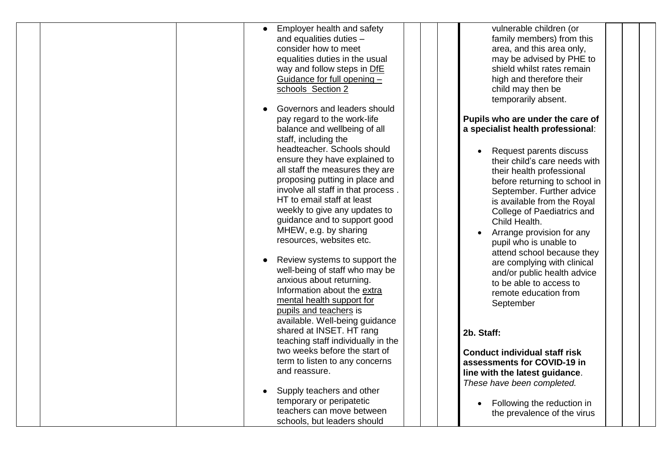| Employer health and safety<br>and equalities duties -<br>consider how to meet<br>equalities duties in the usual<br>way and follow steps in DfE<br>Guidance for full opening -<br>schools Section 2<br>Governors and leaders should<br>pay regard to the work-life<br>balance and wellbeing of all<br>staff, including the<br>headteacher. Schools should<br>ensure they have explained to<br>all staff the measures they are<br>proposing putting in place and<br>involve all staff in that process.<br>HT to email staff at least<br>weekly to give any updates to<br>guidance and to support good<br>MHEW, e.g. by sharing<br>resources, websites etc.<br>Review systems to support the<br>well-being of staff who may be<br>anxious about returning.<br>Information about the extra<br>mental health support for<br>pupils and teachers is<br>available. Well-being guidance<br>shared at INSET. HT rang<br>teaching staff individually in the | vulnerable children (or<br>family members) from this<br>area, and this area only,<br>may be advised by PHE to<br>shield whilst rates remain<br>high and therefore their<br>child may then be<br>temporarily absent.<br>Pupils who are under the care of<br>a specialist health professional:<br>Request parents discuss<br>their child's care needs with<br>their health professional<br>before returning to school in<br>September. Further advice<br>is available from the Royal<br>College of Paediatrics and<br>Child Health.<br>Arrange provision for any<br>pupil who is unable to<br>attend school because they<br>are complying with clinical<br>and/or public health advice<br>to be able to access to<br>remote education from<br>September<br>2b. Staff: |
|---------------------------------------------------------------------------------------------------------------------------------------------------------------------------------------------------------------------------------------------------------------------------------------------------------------------------------------------------------------------------------------------------------------------------------------------------------------------------------------------------------------------------------------------------------------------------------------------------------------------------------------------------------------------------------------------------------------------------------------------------------------------------------------------------------------------------------------------------------------------------------------------------------------------------------------------------|---------------------------------------------------------------------------------------------------------------------------------------------------------------------------------------------------------------------------------------------------------------------------------------------------------------------------------------------------------------------------------------------------------------------------------------------------------------------------------------------------------------------------------------------------------------------------------------------------------------------------------------------------------------------------------------------------------------------------------------------------------------------|
|                                                                                                                                                                                                                                                                                                                                                                                                                                                                                                                                                                                                                                                                                                                                                                                                                                                                                                                                                   |                                                                                                                                                                                                                                                                                                                                                                                                                                                                                                                                                                                                                                                                                                                                                                     |
| two weeks before the start of<br>term to listen to any concerns<br>and reassure.                                                                                                                                                                                                                                                                                                                                                                                                                                                                                                                                                                                                                                                                                                                                                                                                                                                                  | <b>Conduct individual staff risk</b><br>assessments for COVID-19 in<br>line with the latest guidance.                                                                                                                                                                                                                                                                                                                                                                                                                                                                                                                                                                                                                                                               |
| Supply teachers and other<br>temporary or peripatetic<br>teachers can move between<br>schools, but leaders should                                                                                                                                                                                                                                                                                                                                                                                                                                                                                                                                                                                                                                                                                                                                                                                                                                 | These have been completed.<br>Following the reduction in<br>the prevalence of the virus                                                                                                                                                                                                                                                                                                                                                                                                                                                                                                                                                                                                                                                                             |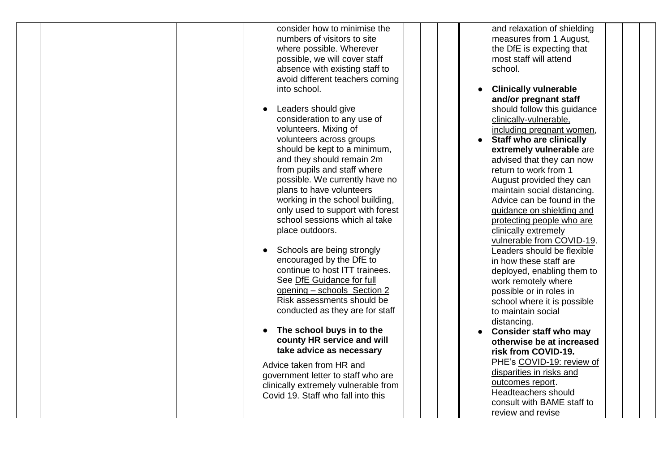| consider how to minimise the<br>and relaxation of shielding<br>numbers of visitors to site<br>measures from 1 August,<br>the DfE is expecting that<br>where possible. Wherever<br>most staff will attend<br>possible, we will cover staff<br>school.<br>absence with existing staff to<br>avoid different teachers coming<br>into school.<br><b>Clinically vulnerable</b><br>and/or pregnant staff<br>Leaders should give<br>should follow this guidance<br>consideration to any use of<br>clinically-vulnerable,<br>volunteers. Mixing of<br>including pregnant women,<br>volunteers across groups<br><b>Staff who are clinically</b><br>should be kept to a minimum,<br>extremely vulnerable are<br>and they should remain 2m<br>advised that they can now<br>from pupils and staff where<br>return to work from 1<br>possible. We currently have no<br>August provided they can<br>plans to have volunteers<br>maintain social distancing.<br>working in the school building,<br>Advice can be found in the<br>only used to support with forest<br>guidance on shielding and<br>school sessions which al take<br>protecting people who are<br>place outdoors.<br>clinically extremely<br>vulnerable from COVID-19.<br>Schools are being strongly<br>Leaders should be flexible<br>encouraged by the DfE to<br>in how these staff are<br>continue to host ITT trainees.<br>deployed, enabling them to<br>See DfE Guidance for full<br>work remotely where<br>opening - schools Section 2<br>possible or in roles in<br>Risk assessments should be<br>school where it is possible<br>conducted as they are for staff<br>to maintain social<br>distancing.<br>The school buys in to the<br><b>Consider staff who may</b><br>$\bullet$<br>county HR service and will<br>otherwise be at increased<br>take advice as necessary<br>risk from COVID-19.<br>PHE's COVID-19: review of<br>Advice taken from HR and<br>disparities in risks and<br>government letter to staff who are<br>outcomes report.<br>clinically extremely vulnerable from<br>Headteachers should |                                    |  |
|-------------------------------------------------------------------------------------------------------------------------------------------------------------------------------------------------------------------------------------------------------------------------------------------------------------------------------------------------------------------------------------------------------------------------------------------------------------------------------------------------------------------------------------------------------------------------------------------------------------------------------------------------------------------------------------------------------------------------------------------------------------------------------------------------------------------------------------------------------------------------------------------------------------------------------------------------------------------------------------------------------------------------------------------------------------------------------------------------------------------------------------------------------------------------------------------------------------------------------------------------------------------------------------------------------------------------------------------------------------------------------------------------------------------------------------------------------------------------------------------------------------------------------------------------------------------------------------------------------------------------------------------------------------------------------------------------------------------------------------------------------------------------------------------------------------------------------------------------------------------------------------------------------------------------------------------------------------------------------------------------------------------------------------------------------------------|------------------------------------|--|
| consult with BAME staff to<br>review and revise                                                                                                                                                                                                                                                                                                                                                                                                                                                                                                                                                                                                                                                                                                                                                                                                                                                                                                                                                                                                                                                                                                                                                                                                                                                                                                                                                                                                                                                                                                                                                                                                                                                                                                                                                                                                                                                                                                                                                                                                                   | Covid 19. Staff who fall into this |  |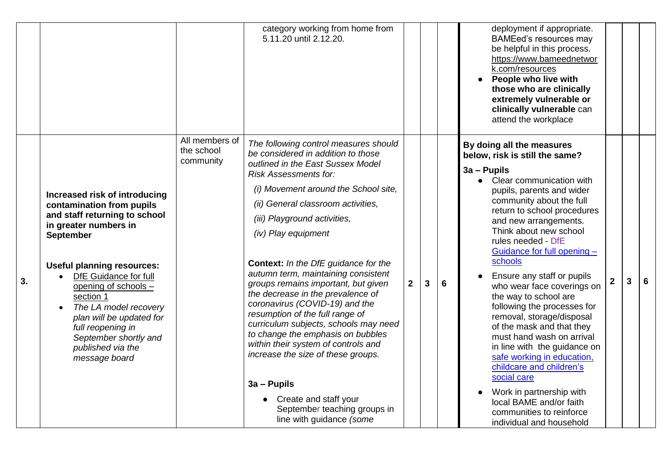|    |                                                                                                                                                                                                                                                                                                                                                                                      |                                           | category working from home from<br>5.11.20 until 2.12.20.                                                                                                                                                                                                                                                                                                                                                                                                                                                                                                                                                                                                                                                                                                                                   |              |   |   | deployment if appropriate.<br><b>BAMEed's resources may</b><br>be helpful in this process.<br>https://www.bameednetwor<br>k.com/resources<br>People who live with<br>those who are clinically<br>extremely vulnerable or<br>clinically vulnerable can<br>attend the workplace                                                                                                                                                                                                                                                                                                                                                                                                                                                                          |             |              |   |
|----|--------------------------------------------------------------------------------------------------------------------------------------------------------------------------------------------------------------------------------------------------------------------------------------------------------------------------------------------------------------------------------------|-------------------------------------------|---------------------------------------------------------------------------------------------------------------------------------------------------------------------------------------------------------------------------------------------------------------------------------------------------------------------------------------------------------------------------------------------------------------------------------------------------------------------------------------------------------------------------------------------------------------------------------------------------------------------------------------------------------------------------------------------------------------------------------------------------------------------------------------------|--------------|---|---|--------------------------------------------------------------------------------------------------------------------------------------------------------------------------------------------------------------------------------------------------------------------------------------------------------------------------------------------------------------------------------------------------------------------------------------------------------------------------------------------------------------------------------------------------------------------------------------------------------------------------------------------------------------------------------------------------------------------------------------------------------|-------------|--------------|---|
| 3. | Increased risk of introducing<br>contamination from pupils<br>and staff returning to school<br>in greater numbers in<br><b>September</b><br><b>Useful planning resources:</b><br>DfE Guidance for full<br>opening of schools -<br>section 1<br>The LA model recovery<br>plan will be updated for<br>full reopening in<br>September shortly and<br>published via the<br>message board | All members of<br>the school<br>community | The following control measures should<br>be considered in addition to those<br>outlined in the East Sussex Model<br><b>Risk Assessments for:</b><br>(i) Movement around the School site,<br>(ii) General classroom activities,<br>(iii) Playground activities,<br>(iv) Play equipment<br><b>Context:</b> In the DfE guidance for the<br>autumn term, maintaining consistent<br>groups remains important, but given<br>the decrease in the prevalence of<br>coronavirus (COVID-19) and the<br>resumption of the full range of<br>curriculum subjects, schools may need<br>to change the emphasis on bubbles<br>within their system of controls and<br>increase the size of these groups.<br>3a - Pupils<br>Create and staff your<br>September teaching groups in<br>line with guidance (some | $\mathbf{2}$ | 3 | 6 | By doing all the measures<br>below, risk is still the same?<br>3a - Pupils<br>• Clear communication with<br>pupils, parents and wider<br>community about the full<br>return to school procedures<br>and new arrangements.<br>Think about new school<br>rules needed - DfE<br>Guidance for full opening -<br>schools<br>Ensure any staff or pupils<br>who wear face coverings on<br>the way to school are<br>following the processes for<br>removal, storage/disposal<br>of the mask and that they<br>must hand wash on arrival<br>in line with the guidance on<br>safe working in education,<br>childcare and children's<br>social care<br>Work in partnership with<br>local BAME and/or faith<br>communities to reinforce<br>individual and household | $2^{\circ}$ | $\mathbf{3}$ | 6 |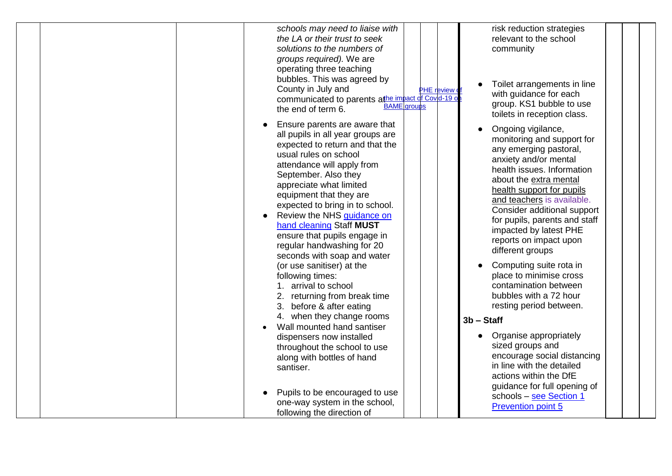| schools may need to liaise with<br>the LA or their trust to seek<br>solutions to the numbers of<br>groups required). We are<br>operating three teaching<br>bubbles. This was agreed by<br>County in July and<br><b>PHE</b> review<br>communicated to parents athe impact of Covid-19 o<br><b>BAME</b> groups<br>the end of term 6.<br>Ensure parents are aware that<br>all pupils in all year groups are<br>expected to return and that the<br>usual rules on school<br>attendance will apply from<br>September. Also they<br>appreciate what limited<br>equipment that they are | risk reduction strategies<br>relevant to the school<br>community<br>Toilet arrangements in line<br>with guidance for each<br>group. KS1 bubble to use<br>toilets in reception class.<br>Ongoing vigilance,<br>monitoring and support for<br>any emerging pastoral,<br>anxiety and/or mental<br>health issues. Information<br>about the extra mental<br>health support for pupils                                                                           |
|----------------------------------------------------------------------------------------------------------------------------------------------------------------------------------------------------------------------------------------------------------------------------------------------------------------------------------------------------------------------------------------------------------------------------------------------------------------------------------------------------------------------------------------------------------------------------------|------------------------------------------------------------------------------------------------------------------------------------------------------------------------------------------------------------------------------------------------------------------------------------------------------------------------------------------------------------------------------------------------------------------------------------------------------------|
| expected to bring in to school.<br>Review the NHS guidance on<br>hand cleaning Staff MUST<br>ensure that pupils engage in<br>regular handwashing for 20<br>seconds with soap and water<br>(or use sanitiser) at the<br>following times:<br>1. arrival to school<br>2. returning from break time<br>3. before & after eating<br>4. when they change rooms<br>Wall mounted hand santiser<br>dispensers now installed<br>throughout the school to use<br>along with bottles of hand<br>santiser.                                                                                    | and teachers is available.<br>Consider additional support<br>for pupils, parents and staff<br>impacted by latest PHE<br>reports on impact upon<br>different groups<br>Computing suite rota in<br>place to minimise cross<br>contamination between<br>bubbles with a 72 hour<br>resting period between.<br>$3b - Start$<br>Organise appropriately<br>sized groups and<br>encourage social distancing<br>in line with the detailed<br>actions within the DfE |
| Pupils to be encouraged to use<br>one-way system in the school,<br>following the direction of                                                                                                                                                                                                                                                                                                                                                                                                                                                                                    | guidance for full opening of<br>schools - see Section 1<br><b>Prevention point 5</b>                                                                                                                                                                                                                                                                                                                                                                       |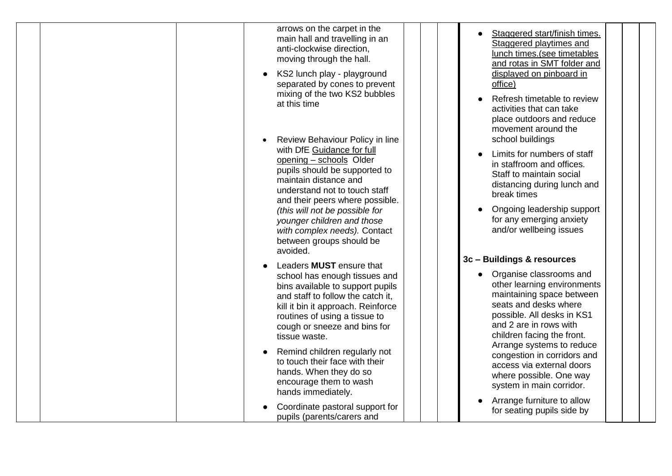| arrows on the carpet in the<br>main hall and travelling in an<br>anti-clockwise direction,<br>moving through the hall.<br>KS2 lunch play - playground<br>separated by cones to prevent<br>mixing of the two KS2 bubbles<br>at this time                                                                                                                                                                | Staggered start/finish times.<br>Staggered playtimes and<br>lunch times.(see timetables<br>and rotas in SMT folder and<br>displayed on pinboard in<br>office)<br>Refresh timetable to review<br>activities that can take                                                                                                                             |
|--------------------------------------------------------------------------------------------------------------------------------------------------------------------------------------------------------------------------------------------------------------------------------------------------------------------------------------------------------------------------------------------------------|------------------------------------------------------------------------------------------------------------------------------------------------------------------------------------------------------------------------------------------------------------------------------------------------------------------------------------------------------|
| Review Behaviour Policy in line<br>with DfE Guidance for full<br>opening - schools Older<br>pupils should be supported to<br>maintain distance and<br>understand not to touch staff<br>and their peers where possible.<br>(this will not be possible for<br>younger children and those<br>with complex needs). Contact                                                                                 | place outdoors and reduce<br>movement around the<br>school buildings<br>Limits for numbers of staff<br>in staffroom and offices.<br>Staff to maintain social<br>distancing during lunch and<br>break times<br>Ongoing leadership support<br>for any emerging anxiety<br>and/or wellbeing issues                                                      |
| between groups should be<br>avoided.<br>Leaders <b>MUST</b> ensure that<br>school has enough tissues and<br>bins available to support pupils<br>and staff to follow the catch it,<br>kill it bin it approach. Reinforce<br>routines of using a tissue to<br>cough or sneeze and bins for<br>tissue waste.<br>Remind children regularly not<br>to touch their face with their<br>hands. When they do so | 3c - Buildings & resources<br>Organise classrooms and<br>other learning environments<br>maintaining space between<br>seats and desks where<br>possible. All desks in KS1<br>and 2 are in rows with<br>children facing the front.<br>Arrange systems to reduce<br>congestion in corridors and<br>access via external doors<br>where possible. One way |
| encourage them to wash<br>hands immediately.<br>Coordinate pastoral support for<br>pupils (parents/carers and                                                                                                                                                                                                                                                                                          | system in main corridor.<br>Arrange furniture to allow<br>for seating pupils side by                                                                                                                                                                                                                                                                 |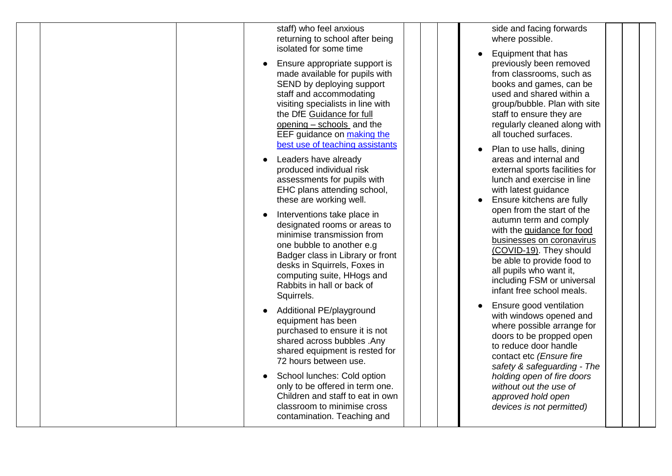| staff) who feel anxious<br>returning to school after being<br>isolated for some time<br>Ensure appropriate support is<br>made available for pupils with<br>SEND by deploying support<br>staff and accommodating<br>visiting specialists in line with<br>the DfE Guidance for full<br>opening $-$ schools and the<br>EEF guidance on making the<br>best use of teaching assistants<br>Leaders have already<br>$\bullet$<br>produced individual risk<br>assessments for pupils with<br>EHC plans attending school,<br>these are working well.<br>Interventions take place in<br>designated rooms or areas to<br>minimise transmission from<br>one bubble to another e.g<br>Badger class in Library or front<br>desks in Squirrels, Foxes in<br>computing suite, HHogs and<br>Rabbits in hall or back of | side and facing forwards<br>where possible.<br>Equipment that has<br>previously been removed<br>from classrooms, such as<br>books and games, can be<br>used and shared within a<br>group/bubble. Plan with site<br>staff to ensure they are<br>regularly cleaned along with<br>all touched surfaces.<br>Plan to use halls, dining<br>areas and internal and<br>external sports facilities for<br>lunch and exercise in line<br>with latest guidance<br>Ensure kitchens are fully<br>open from the start of the<br>autumn term and comply<br>with the guidance for food<br>businesses on coronavirus<br>(COVID-19). They should<br>be able to provide food to<br>all pupils who want it,<br>including FSM or universal<br>infant free school meals. |
|-------------------------------------------------------------------------------------------------------------------------------------------------------------------------------------------------------------------------------------------------------------------------------------------------------------------------------------------------------------------------------------------------------------------------------------------------------------------------------------------------------------------------------------------------------------------------------------------------------------------------------------------------------------------------------------------------------------------------------------------------------------------------------------------------------|----------------------------------------------------------------------------------------------------------------------------------------------------------------------------------------------------------------------------------------------------------------------------------------------------------------------------------------------------------------------------------------------------------------------------------------------------------------------------------------------------------------------------------------------------------------------------------------------------------------------------------------------------------------------------------------------------------------------------------------------------|
| Squirrels.<br>Additional PE/playground<br>equipment has been<br>purchased to ensure it is not<br>shared across bubbles .Any<br>shared equipment is rested for<br>72 hours between use.<br>School lunches: Cold option<br>$\bullet$<br>only to be offered in term one.<br>Children and staff to eat in own<br>classroom to minimise cross<br>contamination. Teaching and                                                                                                                                                                                                                                                                                                                                                                                                                               | Ensure good ventilation<br>with windows opened and<br>where possible arrange for<br>doors to be propped open<br>to reduce door handle<br>contact etc (Ensure fire<br>safety & safeguarding - The<br>holding open of fire doors<br>without out the use of<br>approved hold open<br>devices is not permitted)                                                                                                                                                                                                                                                                                                                                                                                                                                        |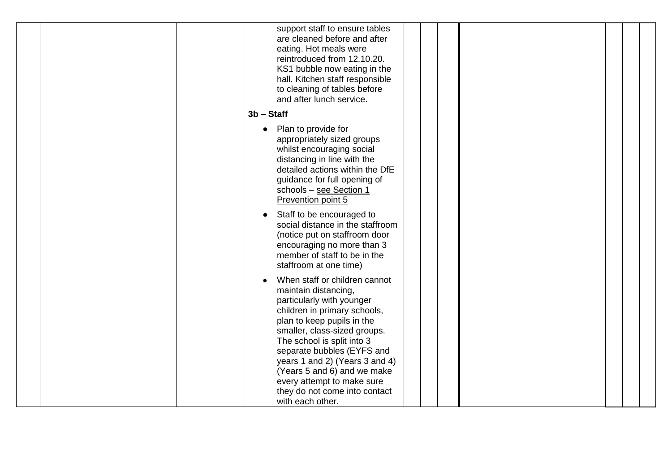| support staff to ensure tables<br>are cleaned before and after<br>eating. Hot meals were<br>reintroduced from 12.10.20.<br>KS1 bubble now eating in the<br>hall. Kitchen staff responsible<br>to cleaning of tables before<br>and after lunch service.                                                                                                                                           |
|--------------------------------------------------------------------------------------------------------------------------------------------------------------------------------------------------------------------------------------------------------------------------------------------------------------------------------------------------------------------------------------------------|
| $3b - Start$                                                                                                                                                                                                                                                                                                                                                                                     |
| Plan to provide for<br>$\bullet$<br>appropriately sized groups<br>whilst encouraging social<br>distancing in line with the<br>detailed actions within the DfE<br>guidance for full opening of<br>schools - see Section 1<br>Prevention point 5                                                                                                                                                   |
| Staff to be encouraged to<br>$\bullet$<br>social distance in the staffroom<br>(notice put on staffroom door<br>encouraging no more than 3<br>member of staff to be in the<br>staffroom at one time)                                                                                                                                                                                              |
| When staff or children cannot<br>maintain distancing,<br>particularly with younger<br>children in primary schools,<br>plan to keep pupils in the<br>smaller, class-sized groups.<br>The school is split into 3<br>separate bubbles (EYFS and<br>years 1 and 2) (Years 3 and 4)<br>(Years 5 and 6) and we make<br>every attempt to make sure<br>they do not come into contact<br>with each other. |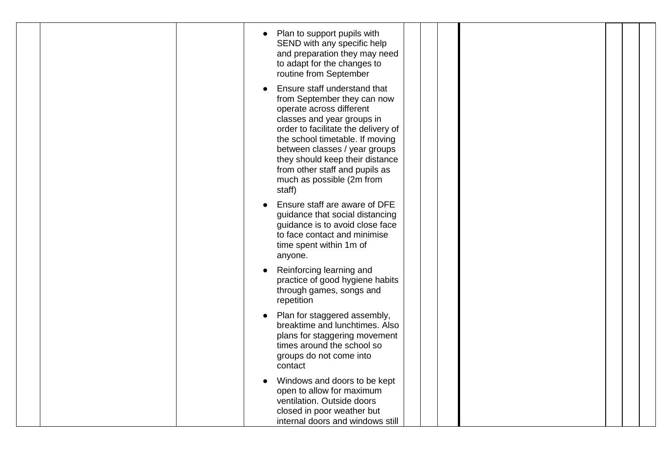| Plan to support pupils with<br>$\bullet$<br>SEND with any specific help<br>and preparation they may need<br>to adapt for the changes to<br>routine from September<br>Ensure staff understand that<br>from September they can now<br>operate across different<br>classes and year groups in<br>order to facilitate the delivery of<br>the school timetable. If moving<br>between classes / year groups<br>they should keep their distance<br>from other staff and pupils as<br>much as possible (2m from<br>staff) |  |
|-------------------------------------------------------------------------------------------------------------------------------------------------------------------------------------------------------------------------------------------------------------------------------------------------------------------------------------------------------------------------------------------------------------------------------------------------------------------------------------------------------------------|--|
| Ensure staff are aware of DFE<br>guidance that social distancing<br>guidance is to avoid close face<br>to face contact and minimise<br>time spent within 1m of<br>anyone.                                                                                                                                                                                                                                                                                                                                         |  |
| Reinforcing learning and<br>$\bullet$<br>practice of good hygiene habits<br>through games, songs and<br>repetition                                                                                                                                                                                                                                                                                                                                                                                                |  |
| Plan for staggered assembly,<br>breaktime and lunchtimes. Also<br>plans for staggering movement<br>times around the school so<br>groups do not come into<br>contact                                                                                                                                                                                                                                                                                                                                               |  |
| Windows and doors to be kept<br>open to allow for maximum<br>ventilation. Outside doors<br>closed in poor weather but<br>internal doors and windows still                                                                                                                                                                                                                                                                                                                                                         |  |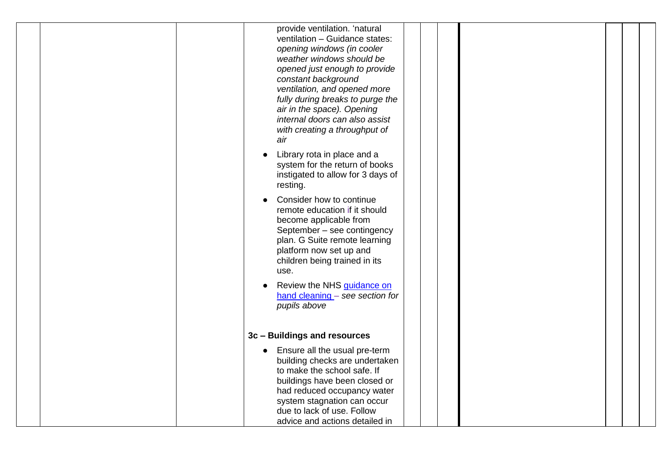| provide ventilation. 'natural<br>ventilation - Guidance states:<br>opening windows (in cooler<br>weather windows should be<br>opened just enough to provide<br>constant background<br>ventilation, and opened more<br>fully during breaks to purge the<br>air in the space). Opening<br>internal doors can also assist<br>with creating a throughput of<br>air<br>Library rota in place and a<br>$\bullet$<br>system for the return of books<br>instigated to allow for 3 days of<br>resting.<br>Consider how to continue<br>remote education if it should<br>become applicable from<br>September - see contingency<br>plan. G Suite remote learning<br>platform now set up and<br>children being trained in its<br>use.<br>Review the NHS guidance on<br>$\bullet$<br>$hand cleaning - see section for$<br>pupils above |  |
|--------------------------------------------------------------------------------------------------------------------------------------------------------------------------------------------------------------------------------------------------------------------------------------------------------------------------------------------------------------------------------------------------------------------------------------------------------------------------------------------------------------------------------------------------------------------------------------------------------------------------------------------------------------------------------------------------------------------------------------------------------------------------------------------------------------------------|--|
| 3c - Buildings and resources<br>• Ensure all the usual pre-term<br>building checks are undertaken<br>to make the school safe. If<br>buildings have been closed or<br>had reduced occupancy water<br>system stagnation can occur<br>due to lack of use. Follow<br>advice and actions detailed in                                                                                                                                                                                                                                                                                                                                                                                                                                                                                                                          |  |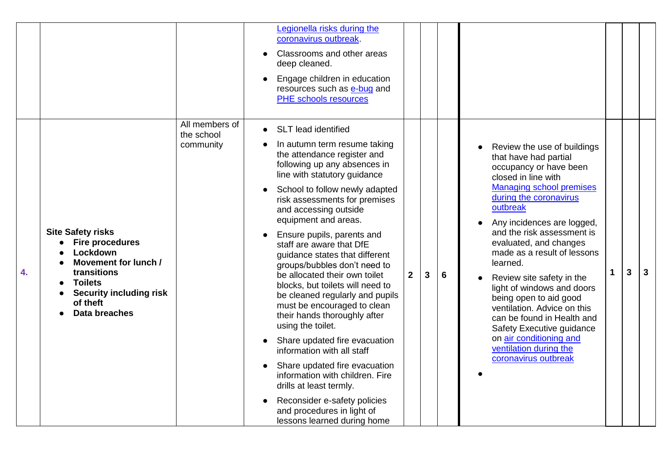|    |                                                                                                                                                                                        |                                           | Legionella risks during the<br>coronavirus outbreak.<br>Classrooms and other areas<br>deep cleaned.<br>Engage children in education<br>resources such as e-bug and<br><b>PHE</b> schools resources                                                                                                                                                                                                                                                                                                                                                                                                                                                                                                                                                                                                                                                          |              |   |   |                                                                                                                                                                                                                                                                                                                                                                                                                                                                                                                                                                             |             |   |   |
|----|----------------------------------------------------------------------------------------------------------------------------------------------------------------------------------------|-------------------------------------------|-------------------------------------------------------------------------------------------------------------------------------------------------------------------------------------------------------------------------------------------------------------------------------------------------------------------------------------------------------------------------------------------------------------------------------------------------------------------------------------------------------------------------------------------------------------------------------------------------------------------------------------------------------------------------------------------------------------------------------------------------------------------------------------------------------------------------------------------------------------|--------------|---|---|-----------------------------------------------------------------------------------------------------------------------------------------------------------------------------------------------------------------------------------------------------------------------------------------------------------------------------------------------------------------------------------------------------------------------------------------------------------------------------------------------------------------------------------------------------------------------------|-------------|---|---|
| 4. | <b>Site Safety risks</b><br><b>Fire procedures</b><br>Lockdown<br>Movement for lunch /<br>transitions<br><b>Toilets</b><br><b>Security including risk</b><br>of theft<br>Data breaches | All members of<br>the school<br>community | • SLT lead identified<br>In autumn term resume taking<br>the attendance register and<br>following up any absences in<br>line with statutory guidance<br>School to follow newly adapted<br>risk assessments for premises<br>and accessing outside<br>equipment and areas.<br>Ensure pupils, parents and<br>staff are aware that DfE<br>guidance states that different<br>groups/bubbles don't need to<br>be allocated their own toilet<br>blocks, but toilets will need to<br>be cleaned regularly and pupils<br>must be encouraged to clean<br>their hands thoroughly after<br>using the toilet.<br>Share updated fire evacuation<br>information with all staff<br>Share updated fire evacuation<br>information with children. Fire<br>drills at least termly.<br>Reconsider e-safety policies<br>and procedures in light of<br>lessons learned during home | $\mathbf{2}$ | 3 | 6 | Review the use of buildings<br>that have had partial<br>occupancy or have been<br>closed in line with<br><b>Managing school premises</b><br>during the coronavirus<br>outbreak<br>Any incidences are logged,<br>and the risk assessment is<br>evaluated, and changes<br>made as a result of lessons<br>learned.<br>Review site safety in the<br>light of windows and doors<br>being open to aid good<br>ventilation. Advice on this<br>can be found in Health and<br>Safety Executive guidance<br>on air conditioning and<br>ventilation during the<br>coronavirus outbreak | $\mathbf 1$ | 3 | 3 |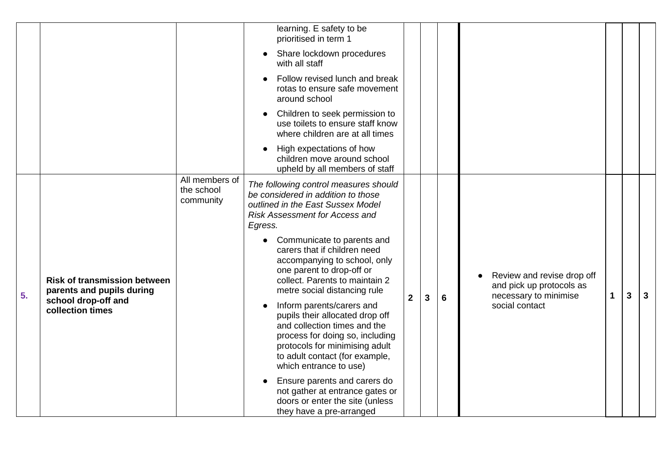|    |                                                                                                             |                                           | learning. E safety to be<br>prioritised in term 1<br>Share lockdown procedures<br>$\bullet$<br>with all staff<br>Follow revised lunch and break<br>rotas to ensure safe movement<br>around school<br>Children to seek permission to<br>use toilets to ensure staff know<br>where children are at all times<br>High expectations of how<br>children move around school<br>upheld by all members of staff                                                                                                                                                                                                                                                                                                                                           |                |                |   |                                                                                                   |   |   |   |
|----|-------------------------------------------------------------------------------------------------------------|-------------------------------------------|---------------------------------------------------------------------------------------------------------------------------------------------------------------------------------------------------------------------------------------------------------------------------------------------------------------------------------------------------------------------------------------------------------------------------------------------------------------------------------------------------------------------------------------------------------------------------------------------------------------------------------------------------------------------------------------------------------------------------------------------------|----------------|----------------|---|---------------------------------------------------------------------------------------------------|---|---|---|
| 5. | <b>Risk of transmission between</b><br>parents and pupils during<br>school drop-off and<br>collection times | All members of<br>the school<br>community | The following control measures should<br>be considered in addition to those<br>outlined in the East Sussex Model<br><b>Risk Assessment for Access and</b><br>Egress.<br>Communicate to parents and<br>$\bullet$<br>carers that if children need<br>accompanying to school, only<br>one parent to drop-off or<br>collect. Parents to maintain 2<br>metre social distancing rule<br>Inform parents/carers and<br>pupils their allocated drop off<br>and collection times and the<br>process for doing so, including<br>protocols for minimising adult<br>to adult contact (for example,<br>which entrance to use)<br>Ensure parents and carers do<br>not gather at entrance gates or<br>doors or enter the site (unless<br>they have a pre-arranged | $\overline{2}$ | 3 <sup>1</sup> | 6 | Review and revise drop off<br>and pick up protocols as<br>necessary to minimise<br>social contact | 1 | 3 | 3 |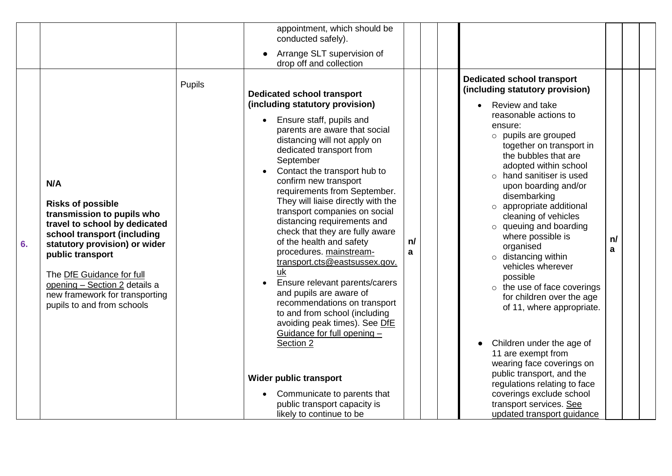|    |                                                                                                                                                                                                                                                                                                                  |        | appointment, which should be<br>conducted safely).<br>Arrange SLT supervision of                                                                                                                                                                                                                                                                                                                                                                                                                                                                                                                                                                                                                                                         |         |                                                                                                                                                                                                                                                                                                                                                                                                                                                                                                                                                                                                     |         |  |
|----|------------------------------------------------------------------------------------------------------------------------------------------------------------------------------------------------------------------------------------------------------------------------------------------------------------------|--------|------------------------------------------------------------------------------------------------------------------------------------------------------------------------------------------------------------------------------------------------------------------------------------------------------------------------------------------------------------------------------------------------------------------------------------------------------------------------------------------------------------------------------------------------------------------------------------------------------------------------------------------------------------------------------------------------------------------------------------------|---------|-----------------------------------------------------------------------------------------------------------------------------------------------------------------------------------------------------------------------------------------------------------------------------------------------------------------------------------------------------------------------------------------------------------------------------------------------------------------------------------------------------------------------------------------------------------------------------------------------------|---------|--|
|    |                                                                                                                                                                                                                                                                                                                  |        | drop off and collection                                                                                                                                                                                                                                                                                                                                                                                                                                                                                                                                                                                                                                                                                                                  |         |                                                                                                                                                                                                                                                                                                                                                                                                                                                                                                                                                                                                     |         |  |
| 6. | N/A<br><b>Risks of possible</b><br>transmission to pupils who<br>travel to school by dedicated<br>school transport (including<br>statutory provision) or wider<br>public transport<br>The DfE Guidance for full<br>opening - Section 2 details a<br>new framework for transporting<br>pupils to and from schools | Pupils | <b>Dedicated school transport</b><br>(including statutory provision)<br>Ensure staff, pupils and<br>parents are aware that social<br>distancing will not apply on<br>dedicated transport from<br>September<br>Contact the transport hub to<br>confirm new transport<br>requirements from September.<br>They will liaise directly with the<br>transport companies on social<br>distancing requirements and<br>check that they are fully aware<br>of the health and safety<br>procedures. mainstream-<br>transport.cts@eastsussex.gov.<br>uk<br>Ensure relevant parents/carers<br>and pupils are aware of<br>recommendations on transport<br>to and from school (including<br>avoiding peak times). See DfE<br>Guidance for full opening - | n/<br>a | <b>Dedicated school transport</b><br>(including statutory provision)<br>Review and take<br>reasonable actions to<br>ensure:<br>$\circ$ pupils are grouped<br>together on transport in<br>the bubbles that are<br>adopted within school<br>$\circ$ hand sanitiser is used<br>upon boarding and/or<br>disembarking<br>o appropriate additional<br>cleaning of vehicles<br>$\circ$ queuing and boarding<br>where possible is<br>organised<br>$\circ$ distancing within<br>vehicles wherever<br>possible<br>$\circ$ the use of face coverings<br>for children over the age<br>of 11, where appropriate. | n/<br>a |  |
|    |                                                                                                                                                                                                                                                                                                                  |        | Section 2                                                                                                                                                                                                                                                                                                                                                                                                                                                                                                                                                                                                                                                                                                                                |         | Children under the age of<br>11 are exempt from<br>wearing face coverings on<br>public transport, and the                                                                                                                                                                                                                                                                                                                                                                                                                                                                                           |         |  |
|    |                                                                                                                                                                                                                                                                                                                  |        | <b>Wider public transport</b><br>Communicate to parents that                                                                                                                                                                                                                                                                                                                                                                                                                                                                                                                                                                                                                                                                             |         | regulations relating to face<br>coverings exclude school                                                                                                                                                                                                                                                                                                                                                                                                                                                                                                                                            |         |  |
|    |                                                                                                                                                                                                                                                                                                                  |        | public transport capacity is<br>likely to continue to be                                                                                                                                                                                                                                                                                                                                                                                                                                                                                                                                                                                                                                                                                 |         | transport services. See<br>updated transport guidance                                                                                                                                                                                                                                                                                                                                                                                                                                                                                                                                               |         |  |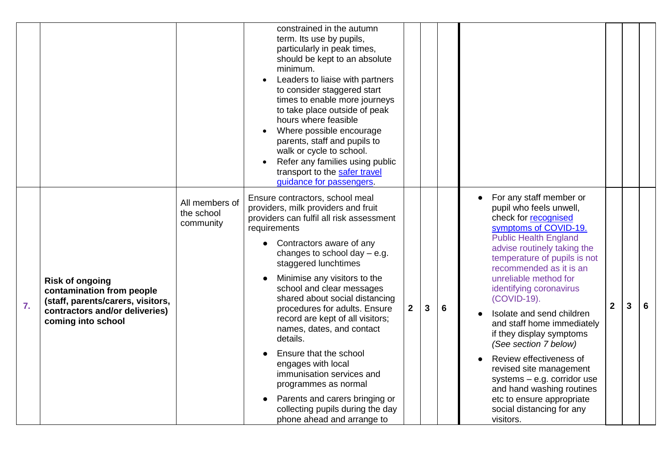|                  |                                                                                                                                                  |                                           | constrained in the autumn<br>term. Its use by pupils,<br>particularly in peak times,<br>should be kept to an absolute<br>minimum.<br>Leaders to liaise with partners<br>to consider staggered start<br>times to enable more journeys<br>to take place outside of peak<br>hours where feasible<br>Where possible encourage<br>parents, staff and pupils to<br>walk or cycle to school.<br>Refer any families using public<br>transport to the safer travel<br>quidance for passengers.                                                                                                                                                          |              |   |                 |                                                                                                                                                                                                                                                                                                                                                                                                                                                                                                                                                                                                             |              |   |   |
|------------------|--------------------------------------------------------------------------------------------------------------------------------------------------|-------------------------------------------|------------------------------------------------------------------------------------------------------------------------------------------------------------------------------------------------------------------------------------------------------------------------------------------------------------------------------------------------------------------------------------------------------------------------------------------------------------------------------------------------------------------------------------------------------------------------------------------------------------------------------------------------|--------------|---|-----------------|-------------------------------------------------------------------------------------------------------------------------------------------------------------------------------------------------------------------------------------------------------------------------------------------------------------------------------------------------------------------------------------------------------------------------------------------------------------------------------------------------------------------------------------------------------------------------------------------------------------|--------------|---|---|
| $\overline{7}$ . | <b>Risk of ongoing</b><br>contamination from people<br>(staff, parents/carers, visitors,<br>contractors and/or deliveries)<br>coming into school | All members of<br>the school<br>community | Ensure contractors, school meal<br>providers, milk providers and fruit<br>providers can fulfil all risk assessment<br>requirements<br>Contractors aware of any<br>changes to school day $-$ e.g.<br>staggered lunchtimes<br>Minimise any visitors to the<br>school and clear messages<br>shared about social distancing<br>procedures for adults. Ensure<br>record are kept of all visitors;<br>names, dates, and contact<br>details.<br>Ensure that the school<br>engages with local<br>immunisation services and<br>programmes as normal<br>Parents and carers bringing or<br>collecting pupils during the day<br>phone ahead and arrange to | $\mathbf{2}$ | 3 | $6\phantom{1}6$ | For any staff member or<br>pupil who feels unwell,<br>check for recognised<br>symptoms of COVID-19.<br><b>Public Health England</b><br>advise routinely taking the<br>temperature of pupils is not<br>recommended as it is an<br>unreliable method for<br>identifying coronavirus<br>(COVID-19).<br>Isolate and send children<br>and staff home immediately<br>if they display symptoms<br>(See section 7 below)<br>Review effectiveness of<br>revised site management<br>systems $-$ e.g. corridor use<br>and hand washing routines<br>etc to ensure appropriate<br>social distancing for any<br>visitors. | $\mathbf{2}$ | 3 | 6 |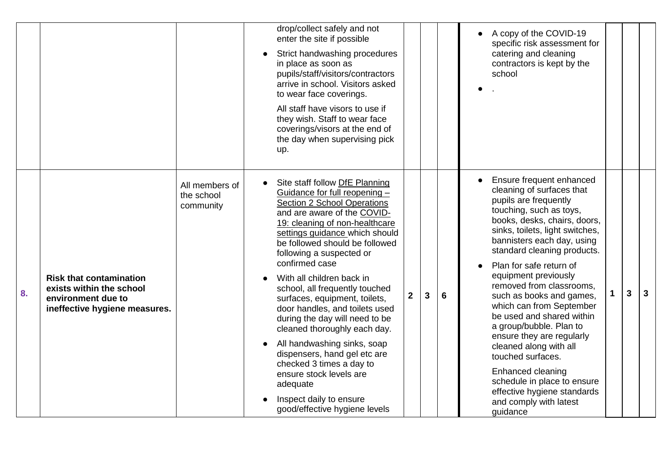|    |                                                                                                                   |                                           | drop/collect safely and not<br>enter the site if possible<br>Strict handwashing procedures<br>in place as soon as<br>pupils/staff/visitors/contractors<br>arrive in school. Visitors asked<br>to wear face coverings.<br>All staff have visors to use if<br>they wish. Staff to wear face<br>coverings/visors at the end of<br>the day when supervising pick<br>up.                                                                                                                                                                                                                                                                                                                 |              |              |   | A copy of the COVID-19<br>specific risk assessment for<br>catering and cleaning<br>contractors is kept by the<br>school                                                                                                                                                                                                                                                                                                                                                                                                                                                                                                                       |             |   |              |
|----|-------------------------------------------------------------------------------------------------------------------|-------------------------------------------|-------------------------------------------------------------------------------------------------------------------------------------------------------------------------------------------------------------------------------------------------------------------------------------------------------------------------------------------------------------------------------------------------------------------------------------------------------------------------------------------------------------------------------------------------------------------------------------------------------------------------------------------------------------------------------------|--------------|--------------|---|-----------------------------------------------------------------------------------------------------------------------------------------------------------------------------------------------------------------------------------------------------------------------------------------------------------------------------------------------------------------------------------------------------------------------------------------------------------------------------------------------------------------------------------------------------------------------------------------------------------------------------------------------|-------------|---|--------------|
| 8. | <b>Risk that contamination</b><br>exists within the school<br>environment due to<br>ineffective hygiene measures. | All members of<br>the school<br>community | Site staff follow DfE Planning<br>Guidance for full reopening -<br>Section 2 School Operations<br>and are aware of the COVID-<br>19: cleaning of non-healthcare<br>settings guidance which should<br>be followed should be followed<br>following a suspected or<br>confirmed case<br>With all children back in<br>school, all frequently touched<br>surfaces, equipment, toilets,<br>door handles, and toilets used<br>during the day will need to be<br>cleaned thoroughly each day.<br>All handwashing sinks, soap<br>dispensers, hand gel etc are<br>checked 3 times a day to<br>ensure stock levels are<br>adequate<br>Inspect daily to ensure<br>good/effective hygiene levels | $\mathbf{2}$ | $\mathbf{3}$ | 6 | Ensure frequent enhanced<br>cleaning of surfaces that<br>pupils are frequently<br>touching, such as toys,<br>books, desks, chairs, doors,<br>sinks, toilets, light switches,<br>bannisters each day, using<br>standard cleaning products.<br>Plan for safe return of<br>equipment previously<br>removed from classrooms.<br>such as books and games,<br>which can from September<br>be used and shared within<br>a group/bubble. Plan to<br>ensure they are regularly<br>cleaned along with all<br>touched surfaces.<br>Enhanced cleaning<br>schedule in place to ensure<br>effective hygiene standards<br>and comply with latest<br>guidance | $\mathbf 1$ | 3 | $\mathbf{3}$ |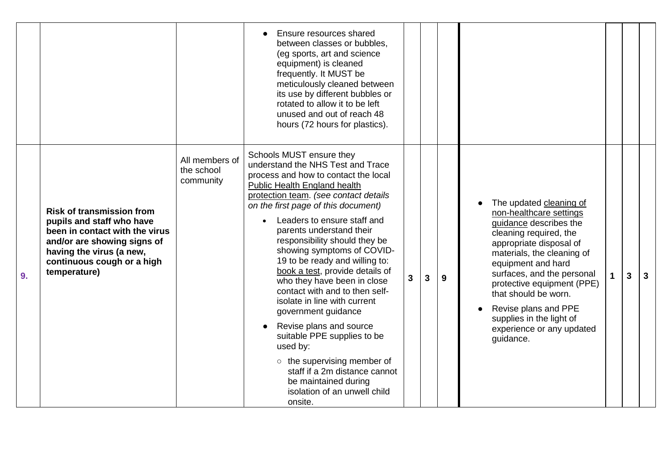|    |                                                                                                                                                                                                          |                                           | Ensure resources shared<br>between classes or bubbles,<br>(eg sports, art and science<br>equipment) is cleaned<br>frequently. It MUST be<br>meticulously cleaned between<br>its use by different bubbles or<br>rotated to allow it to be left<br>unused and out of reach 48<br>hours (72 hours for plastics).                                                                                                                                                                                                                                                                                                                                                                                                                                               |              |   |   |                                                                                                                                                                                                                                                                                                                                                                         |   |                |
|----|----------------------------------------------------------------------------------------------------------------------------------------------------------------------------------------------------------|-------------------------------------------|-------------------------------------------------------------------------------------------------------------------------------------------------------------------------------------------------------------------------------------------------------------------------------------------------------------------------------------------------------------------------------------------------------------------------------------------------------------------------------------------------------------------------------------------------------------------------------------------------------------------------------------------------------------------------------------------------------------------------------------------------------------|--------------|---|---|-------------------------------------------------------------------------------------------------------------------------------------------------------------------------------------------------------------------------------------------------------------------------------------------------------------------------------------------------------------------------|---|----------------|
| 9. | <b>Risk of transmission from</b><br>pupils and staff who have<br>been in contact with the virus<br>and/or are showing signs of<br>having the virus (a new,<br>continuous cough or a high<br>temperature) | All members of<br>the school<br>community | Schools MUST ensure they<br>understand the NHS Test and Trace<br>process and how to contact the local<br>Public Health England health<br>protection team. (see contact details<br>on the first page of this document)<br>Leaders to ensure staff and<br>parents understand their<br>responsibility should they be<br>showing symptoms of COVID-<br>19 to be ready and willing to:<br>book a test, provide details of<br>who they have been in close<br>contact with and to then self-<br>isolate in line with current<br>government guidance<br>Revise plans and source<br>suitable PPE supplies to be<br>used by:<br>$\circ$ the supervising member of<br>staff if a 2m distance cannot<br>be maintained during<br>isolation of an unwell child<br>onsite. | $\mathbf{3}$ | 3 | 9 | The updated cleaning of<br>non-healthcare settings<br>guidance describes the<br>cleaning required, the<br>appropriate disposal of<br>materials, the cleaning of<br>equipment and hard<br>surfaces, and the personal<br>protective equipment (PPE)<br>that should be worn.<br>Revise plans and PPE<br>supplies in the light of<br>experience or any updated<br>guidance. | 3 | $\overline{3}$ |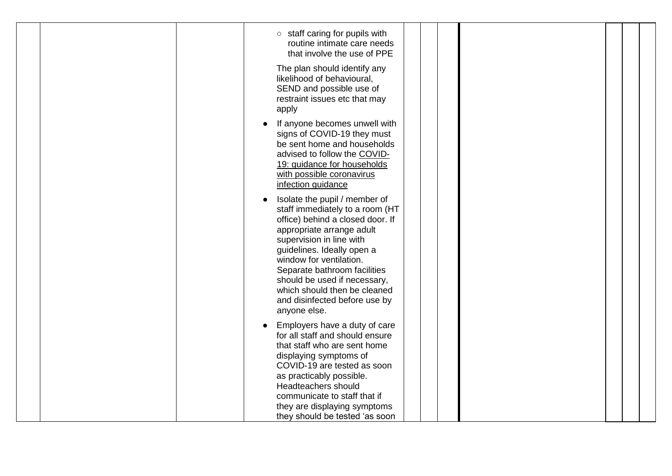| $\circ$ staff caring for pupils with<br>routine intimate care needs<br>that involve the use of PPE                                                                                                                                                                                                                                                                                   |  |
|--------------------------------------------------------------------------------------------------------------------------------------------------------------------------------------------------------------------------------------------------------------------------------------------------------------------------------------------------------------------------------------|--|
| The plan should identify any<br>likelihood of behavioural,<br>SEND and possible use of<br>restraint issues etc that may<br>apply                                                                                                                                                                                                                                                     |  |
| If anyone becomes unwell with<br>signs of COVID-19 they must<br>be sent home and households<br>advised to follow the COVID-<br>19: guidance for households<br>with possible coronavirus<br>infection guidance                                                                                                                                                                        |  |
| Isolate the pupil / member of<br>$\bullet$<br>staff immediately to a room (HT<br>office) behind a closed door. If<br>appropriate arrange adult<br>supervision in line with<br>guidelines. Ideally open a<br>window for ventilation.<br>Separate bathroom facilities<br>should be used if necessary,<br>which should then be cleaned<br>and disinfected before use by<br>anyone else. |  |
| Employers have a duty of care<br>$\bullet$<br>for all staff and should ensure<br>that staff who are sent home<br>displaying symptoms of<br>COVID-19 are tested as soon<br>as practicably possible.<br>Headteachers should<br>communicate to staff that if<br>they are displaying symptoms<br>they should be tested 'as soon                                                          |  |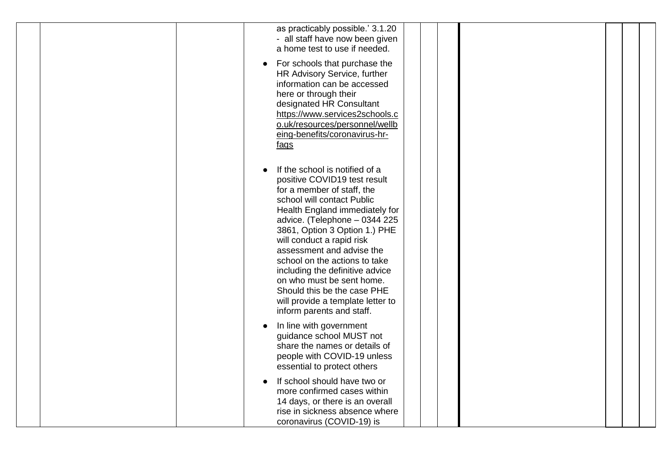| as practicably possible.' 3.1.20<br>- all staff have now been given<br>a home test to use if needed.                                                                                                                                                                                                                                                                                                                                                                                       |  |
|--------------------------------------------------------------------------------------------------------------------------------------------------------------------------------------------------------------------------------------------------------------------------------------------------------------------------------------------------------------------------------------------------------------------------------------------------------------------------------------------|--|
| For schools that purchase the<br>HR Advisory Service, further<br>information can be accessed<br>here or through their<br>designated HR Consultant<br>https://www.services2schools.c<br>o.uk/resources/personnel/wellb<br>eing-benefits/coronavirus-hr-<br>faqs                                                                                                                                                                                                                             |  |
| If the school is notified of a<br>positive COVID19 test result<br>for a member of staff, the<br>school will contact Public<br>Health England immediately for<br>advice. (Telephone - 0344 225<br>3861, Option 3 Option 1.) PHE<br>will conduct a rapid risk<br>assessment and advise the<br>school on the actions to take<br>including the definitive advice<br>on who must be sent home.<br>Should this be the case PHE<br>will provide a template letter to<br>inform parents and staff. |  |
| In line with government<br>guidance school MUST not<br>share the names or details of<br>people with COVID-19 unless<br>essential to protect others                                                                                                                                                                                                                                                                                                                                         |  |
| If school should have two or<br>more confirmed cases within<br>14 days, or there is an overall<br>rise in sickness absence where<br>coronavirus (COVID-19) is                                                                                                                                                                                                                                                                                                                              |  |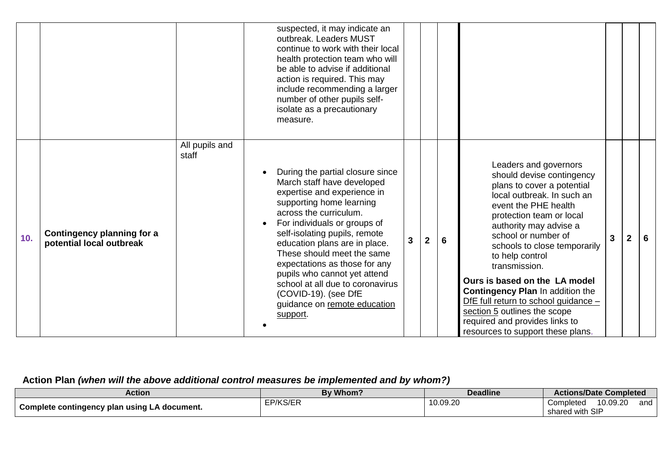|     |                                                        |                         | suspected, it may indicate an<br>outbreak. Leaders MUST<br>continue to work with their local<br>health protection team who will<br>be able to advise if additional<br>action is required. This may<br>include recommending a larger<br>number of other pupils self-<br>isolate as a precautionary<br>measure.                                                                                                                                                |   |              |   |                                                                                                                                                                                                                                                                                                                                                                                                                                                                                                             |   |   |   |
|-----|--------------------------------------------------------|-------------------------|--------------------------------------------------------------------------------------------------------------------------------------------------------------------------------------------------------------------------------------------------------------------------------------------------------------------------------------------------------------------------------------------------------------------------------------------------------------|---|--------------|---|-------------------------------------------------------------------------------------------------------------------------------------------------------------------------------------------------------------------------------------------------------------------------------------------------------------------------------------------------------------------------------------------------------------------------------------------------------------------------------------------------------------|---|---|---|
| 10. | Contingency planning for a<br>potential local outbreak | All pupils and<br>staff | During the partial closure since<br>March staff have developed<br>expertise and experience in<br>supporting home learning<br>across the curriculum.<br>For individuals or groups of<br>self-isolating pupils, remote<br>education plans are in place.<br>These should meet the same<br>expectations as those for any<br>pupils who cannot yet attend<br>school at all due to coronavirus<br>(COVID-19). (see DfE<br>guidance on remote education<br>support. | 3 | $\mathbf{2}$ | 6 | Leaders and governors<br>should devise contingency<br>plans to cover a potential<br>local outbreak. In such an<br>event the PHE health<br>protection team or local<br>authority may advise a<br>school or number of<br>schools to close temporarily<br>to help control<br>transmission.<br>Ours is based on the LA model<br>Contingency Plan In addition the<br>DfE full return to school guidance -<br>section 5 outlines the scope<br>required and provides links to<br>resources to support these plans. | 3 | 2 | 6 |

# **Action Plan** *(when will the above additional control measures be implemented and by whom?)*

| Action                                       | By Whom? | <b>Deadline</b> | <b>Actions/Date Completed</b> |                        |     |  |
|----------------------------------------------|----------|-----------------|-------------------------------|------------------------|-----|--|
| Complete contingency plan using LA document. | EP/KS/ER | 10.09.20        | Completed<br>shared with SI   | 10.09.20<br><b>QIE</b> | and |  |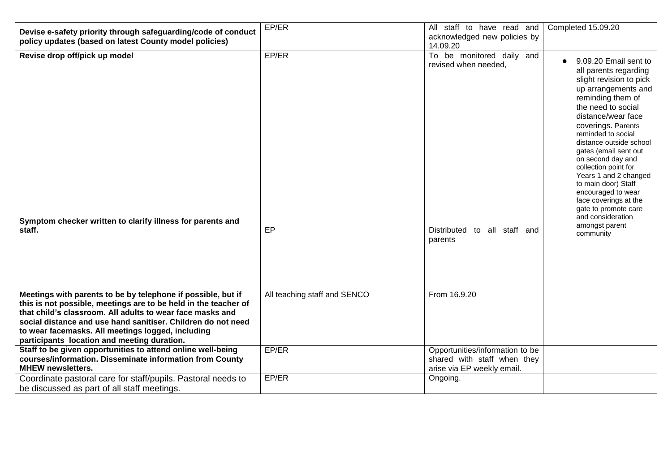| Devise e-safety priority through safeguarding/code of conduct                                                                                                                                                                                                                                                                                                    | EP/ER                        | All staff to have read and<br>acknowledged new policies by                                   | Completed 15.09.20                                                                                                                                                                                                                                                                                                                                                                                                                                           |
|------------------------------------------------------------------------------------------------------------------------------------------------------------------------------------------------------------------------------------------------------------------------------------------------------------------------------------------------------------------|------------------------------|----------------------------------------------------------------------------------------------|--------------------------------------------------------------------------------------------------------------------------------------------------------------------------------------------------------------------------------------------------------------------------------------------------------------------------------------------------------------------------------------------------------------------------------------------------------------|
| policy updates (based on latest County model policies)                                                                                                                                                                                                                                                                                                           |                              | 14.09.20                                                                                     |                                                                                                                                                                                                                                                                                                                                                                                                                                                              |
| Revise drop off/pick up model                                                                                                                                                                                                                                                                                                                                    | EP/ER                        | To be monitored daily and<br>revised when needed,                                            | • 9.09.20 Email sent to<br>all parents regarding<br>slight revision to pick<br>up arrangements and<br>reminding them of<br>the need to social<br>distance/wear face<br>coverings. Parents<br>reminded to social<br>distance outside school<br>gates (email sent out<br>on second day and<br>collection point for<br>Years 1 and 2 changed<br>to main door) Staff<br>encouraged to wear<br>face coverings at the<br>gate to promote care<br>and consideration |
| Symptom checker written to clarify illness for parents and<br>staff.                                                                                                                                                                                                                                                                                             | EP                           | Distributed to all staff and<br>parents                                                      | amongst parent<br>community                                                                                                                                                                                                                                                                                                                                                                                                                                  |
| Meetings with parents to be by telephone if possible, but if<br>this is not possible, meetings are to be held in the teacher of<br>that child's classroom. All adults to wear face masks and<br>social distance and use hand sanitiser. Children do not need<br>to wear facemasks. All meetings logged, including<br>participants location and meeting duration. | All teaching staff and SENCO | From 16.9.20                                                                                 |                                                                                                                                                                                                                                                                                                                                                                                                                                                              |
| Staff to be given opportunities to attend online well-being<br>courses/information. Disseminate information from County<br><b>MHEW newsletters.</b>                                                                                                                                                                                                              | EP/ER                        | Opportunities/information to be<br>shared with staff when they<br>arise via EP weekly email. |                                                                                                                                                                                                                                                                                                                                                                                                                                                              |
| Coordinate pastoral care for staff/pupils. Pastoral needs to<br>be discussed as part of all staff meetings.                                                                                                                                                                                                                                                      | EP/ER                        | Ongoing.                                                                                     |                                                                                                                                                                                                                                                                                                                                                                                                                                                              |